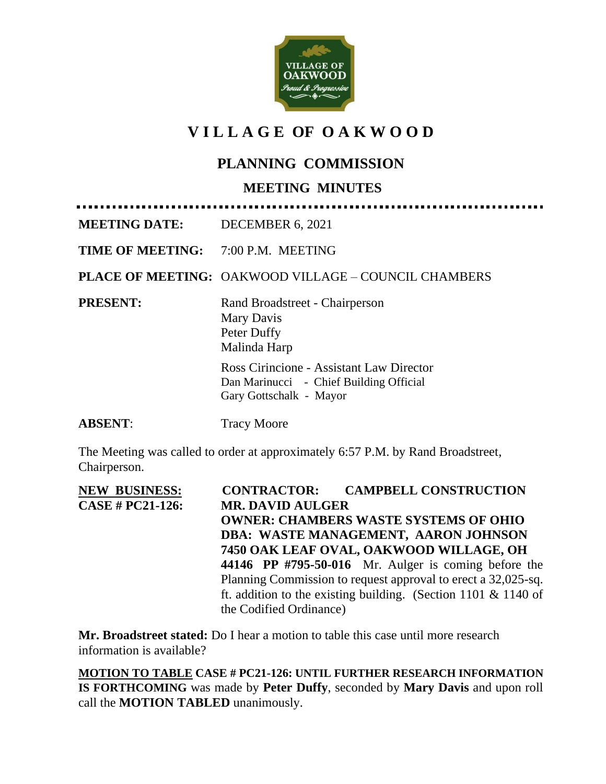

# **V I L L A G E OF O A K W O O D**

# **PLANNING COMMISSION**

#### **MEETING MINUTES**

**MEETING DATE:** DECEMBER 6, 2021

**TIME OF MEETING:** 7:00 P.M. MEETING

**PLACE OF MEETING:** OAKWOOD VILLAGE – COUNCIL CHAMBERS

**PRESENT:** Rand Broadstreet - Chairperson Mary Davis Peter Duffy Malinda Harp Ross Cirincione - Assistant Law Director

Dan Marinucci - Chief Building Official Gary Gottschalk - Mayor

#### **ABSENT:** Tracy Moore

The Meeting was called to order at approximately 6:57 P.M. by Rand Broadstreet, Chairperson.

| <b>NEW BUSINESS:</b>    | <b>CONTRACTOR: CAMPBELL CONSTRUCTION</b>                       |
|-------------------------|----------------------------------------------------------------|
| <b>CASE # PC21-126:</b> | <b>MR. DAVID AULGER</b>                                        |
|                         | <b>OWNER: CHAMBERS WASTE SYSTEMS OF OHIO</b>                   |
|                         | DBA: WASTE MANAGEMENT, AARON JOHNSON                           |
|                         | 7450 OAK LEAF OVAL, OAKWOOD WILLAGE, OH                        |
|                         | 44146 PP #795-50-016 Mr. Aulger is coming before the           |
|                         | Planning Commission to request approval to erect a 32,025-sq.  |
|                         | ft. addition to the existing building. (Section 1101 & 1140 of |
|                         | the Codified Ordinance)                                        |

**Mr. Broadstreet stated:** Do I hear a motion to table this case until more research information is available?

**MOTION TO TABLE CASE # PC21-126: UNTIL FURTHER RESEARCH INFORMATION IS FORTHCOMING** was made by **Peter Duffy**, seconded by **Mary Davis** and upon roll call the **MOTION TABLED** unanimously.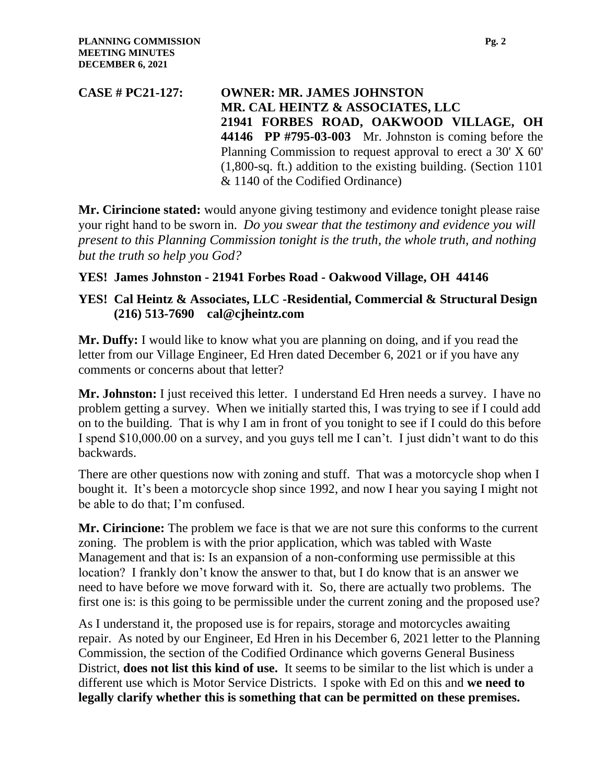**CASE # PC21-127: OWNER: MR. JAMES JOHNSTON MR. CAL HEINTZ & ASSOCIATES, LLC 21941 FORBES ROAD, OAKWOOD VILLAGE, OH 44146 PP #795-03-003** Mr. Johnston is coming before the Planning Commission to request approval to erect a 30' X 60' (1,800-sq. ft.) addition to the existing building. (Section 1101 & 1140 of the Codified Ordinance)

**Mr. Cirincione stated:** would anyone giving testimony and evidence tonight please raise your right hand to be sworn in. *Do you swear that the testimony and evidence you will present to this Planning Commission tonight is the truth, the whole truth, and nothing but the truth so help you God?*

#### **YES! James Johnston - 21941 Forbes Road - Oakwood Village, OH 44146**

#### **YES! Cal Heintz & Associates, LLC -Residential, Commercial & Structural Design (216) 513-7690 cal@cjheintz.com**

**Mr. Duffy:** I would like to know what you are planning on doing, and if you read the letter from our Village Engineer, Ed Hren dated December 6, 2021 or if you have any comments or concerns about that letter?

**Mr. Johnston:** I just received this letter. I understand Ed Hren needs a survey. I have no problem getting a survey. When we initially started this, I was trying to see if I could add on to the building. That is why I am in front of you tonight to see if I could do this before I spend \$10,000.00 on a survey, and you guys tell me I can't. I just didn't want to do this backwards.  $\overline{a}$ 

There are other questions now with zoning and stuff. That was a motorcycle shop when I bought it. It's been a motorcycle shop since 1992, and now I hear you saying I might not be able to do that; I'm confused.

**Mr. Cirincione:** The problem we face is that we are not sure this conforms to the current zoning. The problem is with the prior application, which was tabled with Waste Management and that is: Is an expansion of a non-conforming use permissible at this location? I frankly don't know the answer to that, but I do know that is an answer we need to have before we move forward with it. So, there are actually two problems. The first one is: is this going to be permissible under the current zoning and the proposed use?

As I understand it, the proposed use is for repairs, storage and motorcycles awaiting repair. As noted by our Engineer, Ed Hren in his December 6, 2021 letter to the Planning Commission, the section of the Codified Ordinance which governs General Business District, **does not list this kind of use.** It seems to be similar to the list which is under a different use which is Motor Service Districts. I spoke with Ed on this and **we need to legally clarify whether this is something that can be permitted on these premises.**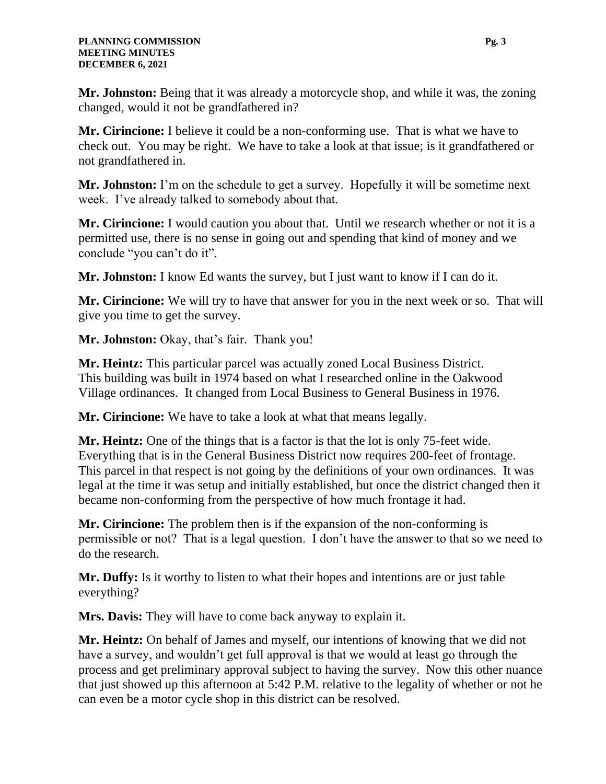**Mr. Johnston:** Being that it was already a motorcycle shop, and while it was, the zoning changed, would it not be grandfathered in?

**Mr. Cirincione:** I believe it could be a non-conforming use. That is what we have to check out. You may be right. We have to take a look at that issue; is it grandfathered or not grandfathered in.

**Mr. Johnston:** I'm on the schedule to get a survey. Hopefully it will be sometime next week. I've already talked to somebody about that.

**Mr. Cirincione:** I would caution you about that. Until we research whether or not it is a permitted use, there is no sense in going out and spending that kind of money and we conclude "you can't do it".

**Mr. Johnston:** I know Ed wants the survey, but I just want to know if I can do it.

**Mr. Cirincione:** We will try to have that answer for you in the next week or so. That will give you time to get the survey.

**Mr. Johnston:** Okay, that's fair. Thank you!

**Mr. Heintz:** This particular parcel was actually zoned Local Business District. This building was built in 1974 based on what I researched online in the Oakwood Village ordinances. It changed from Local Business to General Business in 1976.

**Mr. Cirincione:** We have to take a look at what that means legally.

**Mr. Heintz:** One of the things that is a factor is that the lot is only 75-feet wide. Everything that is in the General Business District now requires 200-feet of frontage. This parcel in that respect is not going by the definitions of your own ordinances. It was legal at the time it was setup and initially established, but once the district changed then it became non-conforming from the perspective of how much frontage it had.

**Mr. Cirincione:** The problem then is if the expansion of the non-conforming is permissible or not? That is a legal question. I don't have the answer to that so we need to do the research.

**Mr. Duffy:** Is it worthy to listen to what their hopes and intentions are or just table everything?

**Mrs. Davis:** They will have to come back anyway to explain it.

**Mr. Heintz:** On behalf of James and myself, our intentions of knowing that we did not have a survey, and wouldn't get full approval is that we would at least go through the process and get preliminary approval subject to having the survey. Now this other nuance that just showed up this afternoon at 5:42 P.M. relative to the legality of whether or not he can even be a motor cycle shop in this district can be resolved.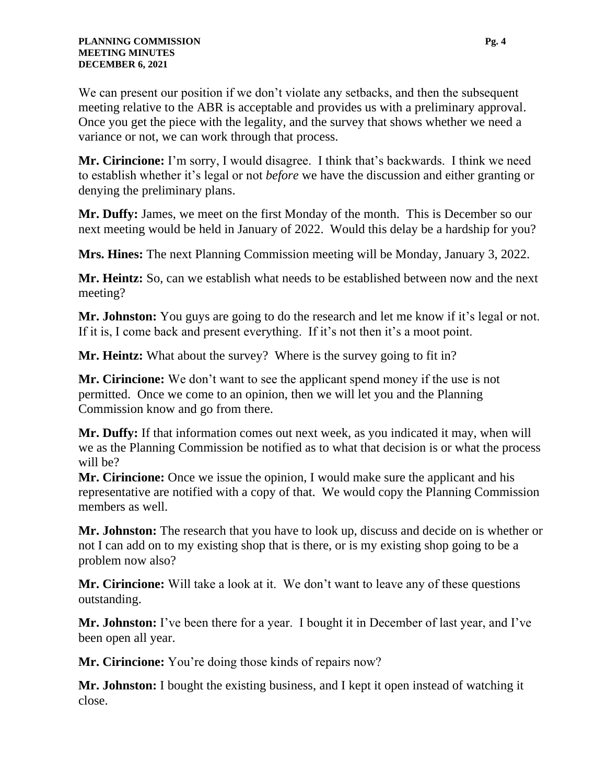We can present our position if we don't violate any setbacks, and then the subsequent meeting relative to the ABR is acceptable and provides us with a preliminary approval. Once you get the piece with the legality, and the survey that shows whether we need a variance or not, we can work through that process.

**Mr. Cirincione:** I'm sorry, I would disagree. I think that's backwards. I think we need to establish whether it's legal or not *before* we have the discussion and either granting or denying the preliminary plans.

**Mr. Duffy:** James, we meet on the first Monday of the month. This is December so our next meeting would be held in January of 2022. Would this delay be a hardship for you?

**Mrs. Hines:** The next Planning Commission meeting will be Monday, January 3, 2022.

**Mr. Heintz:** So, can we establish what needs to be established between now and the next meeting?

**Mr. Johnston:** You guys are going to do the research and let me know if it's legal or not. If it is, I come back and present everything. If it's not then it's a moot point.

**Mr. Heintz:** What about the survey? Where is the survey going to fit in?

**Mr. Cirincione:** We don't want to see the applicant spend money if the use is not permitted. Once we come to an opinion, then we will let you and the Planning Commission know and go from there.

**Mr. Duffy:** If that information comes out next week, as you indicated it may, when will we as the Planning Commission be notified as to what that decision is or what the process will be?

**Mr. Cirincione:** Once we issue the opinion, I would make sure the applicant and his representative are notified with a copy of that. We would copy the Planning Commission members as well.

**Mr. Johnston:** The research that you have to look up, discuss and decide on is whether or not I can add on to my existing shop that is there, or is my existing shop going to be a problem now also?

**Mr. Cirincione:** Will take a look at it. We don't want to leave any of these questions outstanding.

**Mr. Johnston:** I've been there for a year. I bought it in December of last year, and I've been open all year.

**Mr. Cirincione:** You're doing those kinds of repairs now?

**Mr. Johnston:** I bought the existing business, and I kept it open instead of watching it close.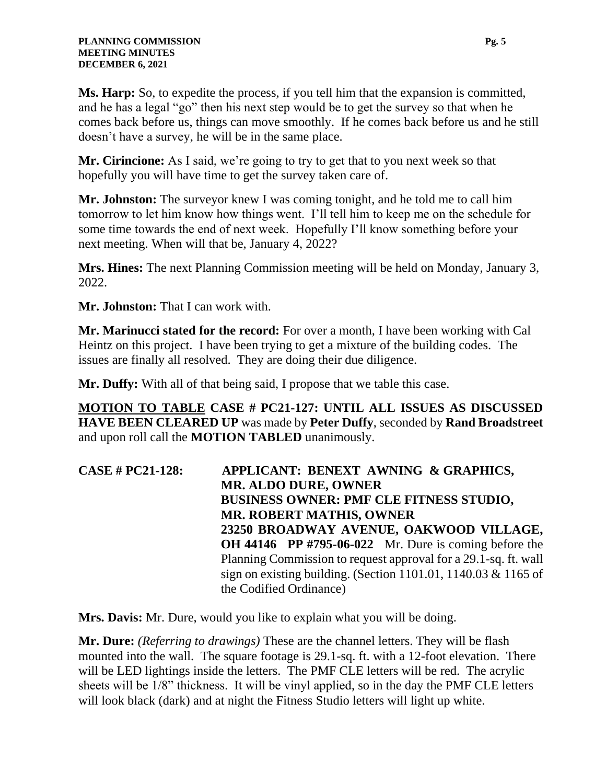**Ms. Harp:** So, to expedite the process, if you tell him that the expansion is committed, and he has a legal "go" then his next step would be to get the survey so that when he comes back before us, things can move smoothly. If he comes back before us and he still doesn't have a survey, he will be in the same place.

**Mr. Cirincione:** As I said, we're going to try to get that to you next week so that hopefully you will have time to get the survey taken care of.

**Mr. Johnston:** The surveyor knew I was coming tonight, and he told me to call him tomorrow to let him know how things went. I'll tell him to keep me on the schedule for some time towards the end of next week. Hopefully I'll know something before your next meeting. When will that be, January 4, 2022?

**Mrs. Hines:** The next Planning Commission meeting will be held on Monday, January 3, 2022.

**Mr. Johnston:** That I can work with.

**Mr. Marinucci stated for the record:** For over a month, I have been working with Cal Heintz on this project. I have been trying to get a mixture of the building codes. The issues are finally all resolved. They are doing their due diligence.

**Mr. Duffy:** With all of that being said, I propose that we table this case.

**MOTION TO TABLE CASE # PC21-127: UNTIL ALL ISSUES AS DISCUSSED HAVE BEEN CLEARED UP** was made by **Peter Duffy**, seconded by **Rand Broadstreet** and upon roll call the **MOTION TABLED** unanimously.

**CASE # PC21-128: APPLICANT: BENEXT AWNING & GRAPHICS, MR. ALDO DURE, OWNER BUSINESS OWNER: PMF CLE FITNESS STUDIO, MR. ROBERT MATHIS, OWNER 23250 BROADWAY AVENUE, OAKWOOD VILLAGE, OH 44146 PP #795-06-022** Mr. Dure is coming before the Planning Commission to request approval for a 29.1-sq. ft. wall sign on existing building. (Section 1101.01, 1140.03 & 1165 of the Codified Ordinance)

**Mrs. Davis:** Mr. Dure, would you like to explain what you will be doing.

**Mr. Dure:** *(Referring to drawings)* These are the channel letters. They will be flash mounted into the wall. The square footage is 29.1-sq. ft. with a 12-foot elevation. There will be LED lightings inside the letters. The PMF CLE letters will be red. The acrylic sheets will be 1/8" thickness. It will be vinyl applied, so in the day the PMF CLE letters will look black (dark) and at night the Fitness Studio letters will light up white.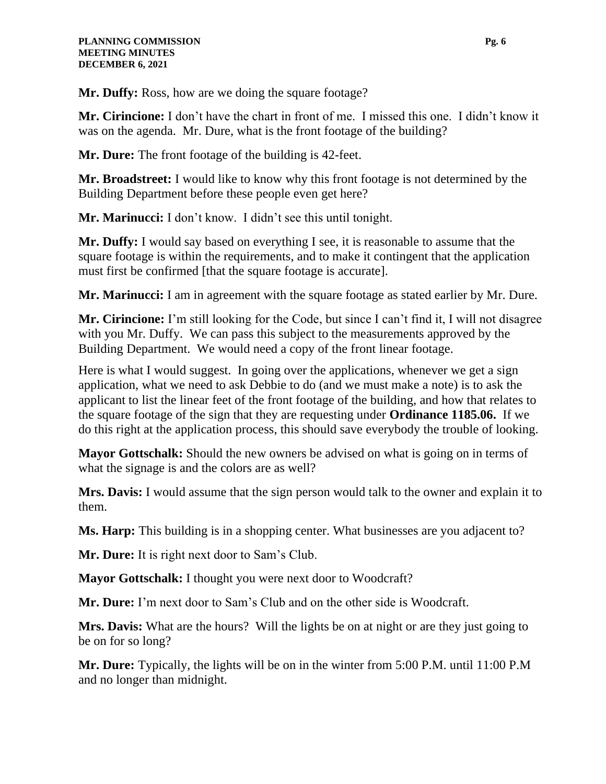**Mr. Duffy:** Ross, how are we doing the square footage?

**Mr. Cirincione:** I don't have the chart in front of me. I missed this one. I didn't know it was on the agenda. Mr. Dure, what is the front footage of the building?

**Mr. Dure:** The front footage of the building is 42-feet.

**Mr. Broadstreet:** I would like to know why this front footage is not determined by the Building Department before these people even get here?

**Mr. Marinucci:** I don't know. I didn't see this until tonight.

**Mr. Duffy:** I would say based on everything I see, it is reasonable to assume that the square footage is within the requirements, and to make it contingent that the application must first be confirmed [that the square footage is accurate].

**Mr. Marinucci:** I am in agreement with the square footage as stated earlier by Mr. Dure.

**Mr. Cirincione:** I'm still looking for the Code, but since I can't find it, I will not disagree with you Mr. Duffy. We can pass this subject to the measurements approved by the Building Department. We would need a copy of the front linear footage.

Here is what I would suggest. In going over the applications, whenever we get a sign application, what we need to ask Debbie to do (and we must make a note) is to ask the applicant to list the linear feet of the front footage of the building, and how that relates to the square footage of the sign that they are requesting under **Ordinance 1185.06.** If we do this right at the application process, this should save everybody the trouble of looking.

**Mayor Gottschalk:** Should the new owners be advised on what is going on in terms of what the signage is and the colors are as well?

**Mrs. Davis:** I would assume that the sign person would talk to the owner and explain it to them.

**Ms. Harp:** This building is in a shopping center. What businesses are you adjacent to?

**Mr. Dure:** It is right next door to Sam's Club.

**Mayor Gottschalk:** I thought you were next door to Woodcraft?

**Mr. Dure:** I'm next door to Sam's Club and on the other side is Woodcraft.

**Mrs. Davis:** What are the hours? Will the lights be on at night or are they just going to be on for so long?

**Mr. Dure:** Typically, the lights will be on in the winter from 5:00 P.M. until 11:00 P.M and no longer than midnight.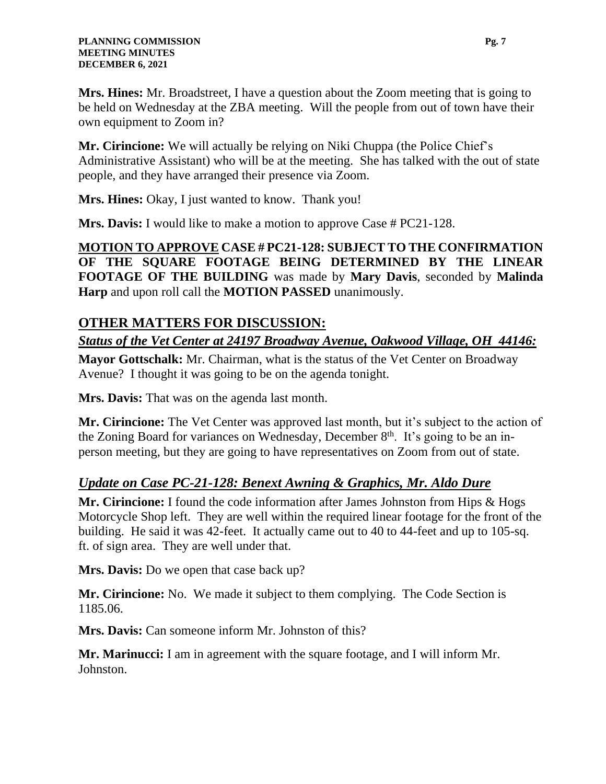**Mrs. Hines:** Mr. Broadstreet, I have a question about the Zoom meeting that is going to be held on Wednesday at the ZBA meeting. Will the people from out of town have their own equipment to Zoom in?

**Mr. Cirincione:** We will actually be relying on Niki Chuppa (the Police Chief's Administrative Assistant) who will be at the meeting. She has talked with the out of state people, and they have arranged their presence via Zoom.

**Mrs. Hines:** Okay, I just wanted to know. Thank you!

**Mrs. Davis:** I would like to make a motion to approve Case # PC21-128.

**MOTION TO APPROVE CASE # PC21-128: SUBJECT TO THE CONFIRMATION OF THE SQUARE FOOTAGE BEING DETERMINED BY THE LINEAR FOOTAGE OF THE BUILDING** was made by **Mary Davis**, seconded by **Malinda Harp** and upon roll call the **MOTION PASSED** unanimously.

### **OTHER MATTERS FOR DISCUSSION:**

*Status of the Vet Center at 24197 Broadway Avenue, Oakwood Village, OH 44146:*

**Mayor Gottschalk:** Mr. Chairman, what is the status of the Vet Center on Broadway Avenue? I thought it was going to be on the agenda tonight.

**Mrs. Davis:** That was on the agenda last month.

**Mr. Cirincione:** The Vet Center was approved last month, but it's subject to the action of the Zoning Board for variances on Wednesday, December  $8<sup>th</sup>$ . It's going to be an inperson meeting, but they are going to have representatives on Zoom from out of state.

### *Update on Case PC-21-128: Benext Awning & Graphics, Mr. Aldo Dure*

**Mr. Cirincione:** I found the code information after James Johnston from Hips & Hogs Motorcycle Shop left. They are well within the required linear footage for the front of the building. He said it was 42-feet. It actually came out to 40 to 44-feet and up to 105-sq. ft. of sign area. They are well under that.

**Mrs. Davis:** Do we open that case back up?

**Mr. Cirincione:** No. We made it subject to them complying. The Code Section is 1185.06.

**Mrs. Davis:** Can someone inform Mr. Johnston of this?

**Mr. Marinucci:** I am in agreement with the square footage, and I will inform Mr. Johnston.